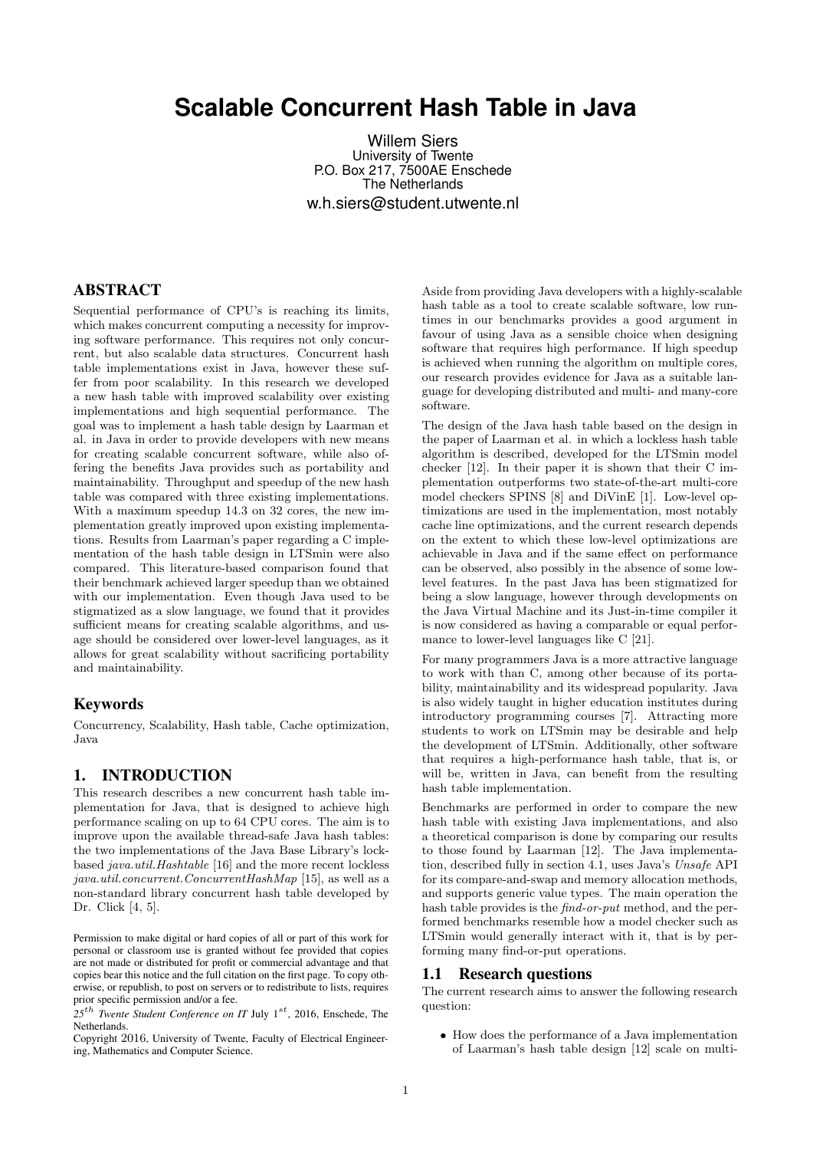# **Scalable Concurrent Hash Table in Java**

Willem Siers University of Twente P.O. Box 217, 7500AE Enschede The Netherlands w.h.siers@student.utwente.nl

## ABSTRACT

Sequential performance of CPU's is reaching its limits, which makes concurrent computing a necessity for improving software performance. This requires not only concurrent, but also scalable data structures. Concurrent hash table implementations exist in Java, however these suffer from poor scalability. In this research we developed a new hash table with improved scalability over existing implementations and high sequential performance. The goal was to implement a hash table design by Laarman et al. in Java in order to provide developers with new means for creating scalable concurrent software, while also offering the benefits Java provides such as portability and maintainability. Throughput and speedup of the new hash table was compared with three existing implementations. With a maximum speedup 14.3 on 32 cores, the new implementation greatly improved upon existing implementations. Results from Laarman's paper regarding a C implementation of the hash table design in LTSmin were also compared. This literature-based comparison found that their benchmark achieved larger speedup than we obtained with our implementation. Even though Java used to be stigmatized as a slow language, we found that it provides sufficient means for creating scalable algorithms, and usage should be considered over lower-level languages, as it allows for great scalability without sacrificing portability and maintainability.

## Keywords

Concurrency, Scalability, Hash table, Cache optimization, Java

## 1. INTRODUCTION

This research describes a new concurrent hash table implementation for Java, that is designed to achieve high performance scaling on up to 64 CPU cores. The aim is to improve upon the available thread-safe Java hash tables: the two implementations of the Java Base Library's lockbased java.util.Hashtable [16] and the more recent lockless java.util.concurrent.ConcurrentHashMap [15], as well as a non-standard library concurrent hash table developed by Dr. Click [4, 5].

Permission to make digital or hard copies of all or part of this work for personal or classroom use is granted without fee provided that copies are not made or distributed for profit or commercial advantage and that copies bear this notice and the full citation on the first page. To copy otherwise, or republish, to post on servers or to redistribute to lists, requires prior specific permission and/or a fee.

25<sup>th</sup> Twente Student Conference on IT July 1<sup>st</sup>, 2016, Enschede, The Netherlands.

Copyright 2016, University of Twente, Faculty of Electrical Engineering, Mathematics and Computer Science.

Aside from providing Java developers with a highly-scalable hash table as a tool to create scalable software, low runtimes in our benchmarks provides a good argument in favour of using Java as a sensible choice when designing software that requires high performance. If high speedup is achieved when running the algorithm on multiple cores, our research provides evidence for Java as a suitable language for developing distributed and multi- and many-core software.

The design of the Java hash table based on the design in the paper of Laarman et al. in which a lockless hash table algorithm is described, developed for the LTSmin model checker [12]. In their paper it is shown that their C implementation outperforms two state-of-the-art multi-core model checkers SPINS [8] and DiVinE [1]. Low-level optimizations are used in the implementation, most notably cache line optimizations, and the current research depends on the extent to which these low-level optimizations are achievable in Java and if the same effect on performance can be observed, also possibly in the absence of some lowlevel features. In the past Java has been stigmatized for being a slow language, however through developments on the Java Virtual Machine and its Just-in-time compiler it is now considered as having a comparable or equal performance to lower-level languages like C [21].

For many programmers Java is a more attractive language to work with than C, among other because of its portability, maintainability and its widespread popularity. Java is also widely taught in higher education institutes during introductory programming courses [7]. Attracting more students to work on LTSmin may be desirable and help the development of LTSmin. Additionally, other software that requires a high-performance hash table, that is, or will be, written in Java, can benefit from the resulting hash table implementation.

Benchmarks are performed in order to compare the new hash table with existing Java implementations, and also a theoretical comparison is done by comparing our results to those found by Laarman [12]. The Java implementation, described fully in section 4.1, uses Java's Unsafe API for its compare-and-swap and memory allocation methods, and supports generic value types. The main operation the hash table provides is the *find-or-put* method, and the performed benchmarks resemble how a model checker such as LTSmin would generally interact with it, that is by performing many find-or-put operations.

#### 1.1 Research questions

The current research aims to answer the following research question:

• How does the performance of a Java implementation of Laarman's hash table design [12] scale on multi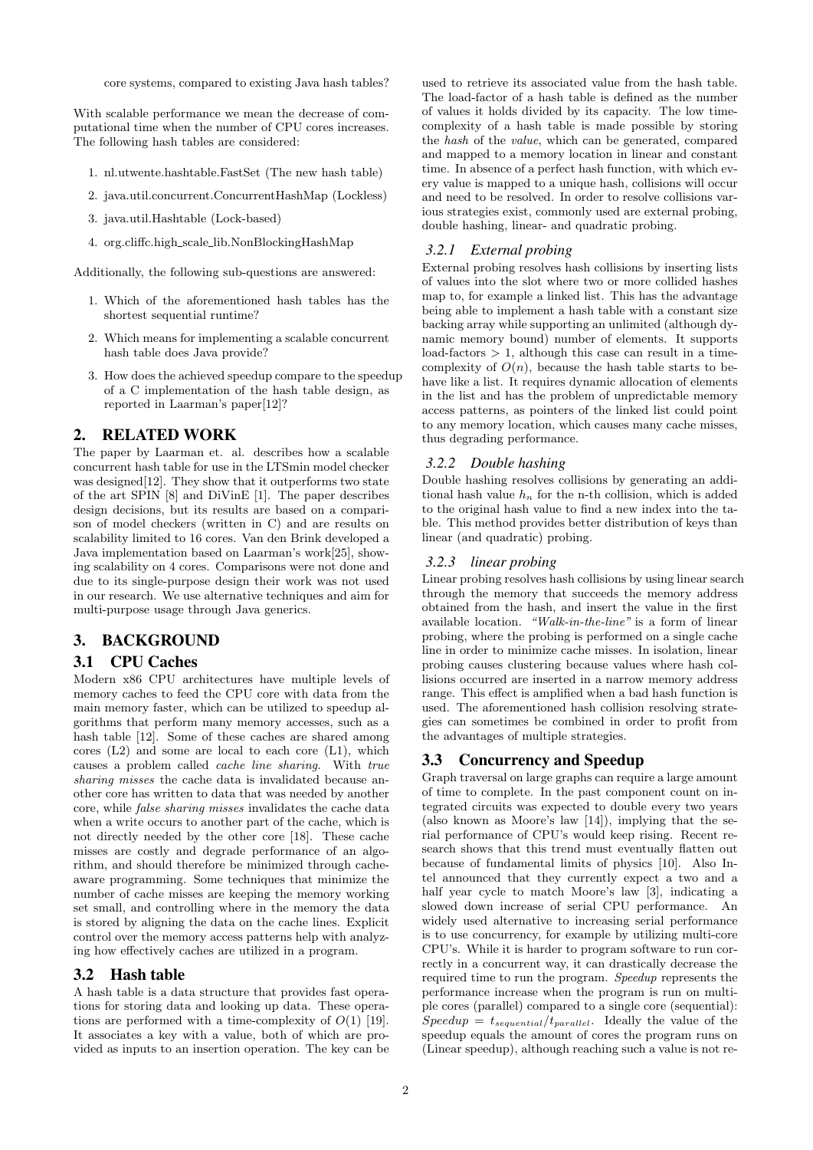core systems, compared to existing Java hash tables?

With scalable performance we mean the decrease of computational time when the number of CPU cores increases. The following hash tables are considered:

- 1. nl.utwente.hashtable.FastSet (The new hash table)
- 2. java.util.concurrent.ConcurrentHashMap (Lockless)
- 3. java.util.Hashtable (Lock-based)
- 4. org.cliffc.high scale lib.NonBlockingHashMap

Additionally, the following sub-questions are answered:

- 1. Which of the aforementioned hash tables has the shortest sequential runtime?
- 2. Which means for implementing a scalable concurrent hash table does Java provide?
- 3. How does the achieved speedup compare to the speedup of a C implementation of the hash table design, as reported in Laarman's paper[12]?

#### 2. RELATED WORK

The paper by Laarman et. al. describes how a scalable concurrent hash table for use in the LTSmin model checker was designed<sup>[12]</sup>. They show that it outperforms two state of the art SPIN [8] and DiVinE [1]. The paper describes design decisions, but its results are based on a comparison of model checkers (written in C) and are results on scalability limited to 16 cores. Van den Brink developed a Java implementation based on Laarman's work[25], showing scalability on 4 cores. Comparisons were not done and due to its single-purpose design their work was not used in our research. We use alternative techniques and aim for multi-purpose usage through Java generics.

## 3. BACKGROUND

## 3.1 CPU Caches

Modern x86 CPU architectures have multiple levels of memory caches to feed the CPU core with data from the main memory faster, which can be utilized to speedup algorithms that perform many memory accesses, such as a hash table [12]. Some of these caches are shared among cores (L2) and some are local to each core (L1), which causes a problem called cache line sharing. With true sharing misses the cache data is invalidated because another core has written to data that was needed by another core, while false sharing misses invalidates the cache data when a write occurs to another part of the cache, which is not directly needed by the other core [18]. These cache misses are costly and degrade performance of an algorithm, and should therefore be minimized through cacheaware programming. Some techniques that minimize the number of cache misses are keeping the memory working set small, and controlling where in the memory the data is stored by aligning the data on the cache lines. Explicit control over the memory access patterns help with analyzing how effectively caches are utilized in a program.

#### 3.2 Hash table

A hash table is a data structure that provides fast operations for storing data and looking up data. These operations are performed with a time-complexity of  $O(1)$  [19]. It associates a key with a value, both of which are provided as inputs to an insertion operation. The key can be

used to retrieve its associated value from the hash table. The load-factor of a hash table is defined as the number of values it holds divided by its capacity. The low timecomplexity of a hash table is made possible by storing the hash of the value, which can be generated, compared and mapped to a memory location in linear and constant time. In absence of a perfect hash function, with which every value is mapped to a unique hash, collisions will occur and need to be resolved. In order to resolve collisions various strategies exist, commonly used are external probing, double hashing, linear- and quadratic probing.

#### *3.2.1 External probing*

External probing resolves hash collisions by inserting lists of values into the slot where two or more collided hashes map to, for example a linked list. This has the advantage being able to implement a hash table with a constant size backing array while supporting an unlimited (although dynamic memory bound) number of elements. It supports  $load-factors > 1$ , although this case can result in a timecomplexity of  $O(n)$ , because the hash table starts to behave like a list. It requires dynamic allocation of elements in the list and has the problem of unpredictable memory access patterns, as pointers of the linked list could point to any memory location, which causes many cache misses, thus degrading performance.

#### *3.2.2 Double hashing*

Double hashing resolves collisions by generating an additional hash value  $h_n$  for the n-th collision, which is added to the original hash value to find a new index into the table. This method provides better distribution of keys than linear (and quadratic) probing.

#### *3.2.3 linear probing*

Linear probing resolves hash collisions by using linear search through the memory that succeeds the memory address obtained from the hash, and insert the value in the first available location. "Walk-in-the-line" is a form of linear probing, where the probing is performed on a single cache line in order to minimize cache misses. In isolation, linear probing causes clustering because values where hash collisions occurred are inserted in a narrow memory address range. This effect is amplified when a bad hash function is used. The aforementioned hash collision resolving strategies can sometimes be combined in order to profit from the advantages of multiple strategies.

## 3.3 Concurrency and Speedup

Graph traversal on large graphs can require a large amount of time to complete. In the past component count on integrated circuits was expected to double every two years (also known as Moore's law [14]), implying that the serial performance of CPU's would keep rising. Recent research shows that this trend must eventually flatten out because of fundamental limits of physics [10]. Also Intel announced that they currently expect a two and a half year cycle to match Moore's law [3], indicating a slowed down increase of serial CPU performance. An widely used alternative to increasing serial performance is to use concurrency, for example by utilizing multi-core CPU's. While it is harder to program software to run correctly in a concurrent way, it can drastically decrease the required time to run the program. Speedup represents the performance increase when the program is run on multiple cores (parallel) compared to a single core (sequential):  $Speedup = t_{sequential}/t_{parallel}.$  Ideally the value of the speedup equals the amount of cores the program runs on (Linear speedup), although reaching such a value is not re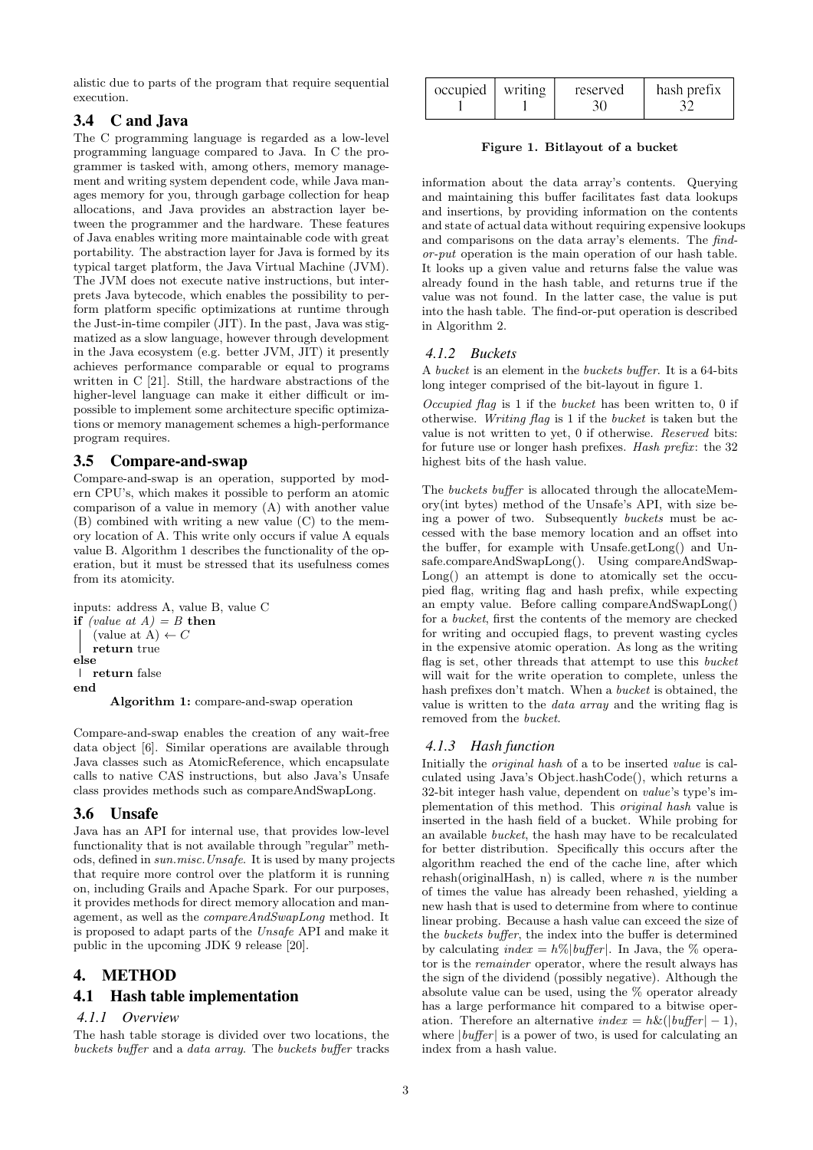alistic due to parts of the program that require sequential execution.

## 3.4 C and Java

The C programming language is regarded as a low-level programming language compared to Java. In C the programmer is tasked with, among others, memory management and writing system dependent code, while Java manages memory for you, through garbage collection for heap allocations, and Java provides an abstraction layer between the programmer and the hardware. These features of Java enables writing more maintainable code with great portability. The abstraction layer for Java is formed by its typical target platform, the Java Virtual Machine (JVM). The JVM does not execute native instructions, but interprets Java bytecode, which enables the possibility to perform platform specific optimizations at runtime through the Just-in-time compiler (JIT). In the past, Java was stigmatized as a slow language, however through development in the Java ecosystem (e.g. better JVM, JIT) it presently achieves performance comparable or equal to programs written in C [21]. Still, the hardware abstractions of the higher-level language can make it either difficult or impossible to implement some architecture specific optimizations or memory management schemes a high-performance program requires.

## 3.5 Compare-and-swap

Compare-and-swap is an operation, supported by modern CPU's, which makes it possible to perform an atomic comparison of a value in memory (A) with another value (B) combined with writing a new value (C) to the memory location of A. This write only occurs if value A equals value B. Algorithm 1 describes the functionality of the operation, but it must be stressed that its usefulness comes from its atomicity.

```
inputs: address A, value B, value C
if (value at A) = B then
   (value at A) \leftarrow C
   return true
else
return false
end
      Algorithm 1: compare-and-swap operation
```
Compare-and-swap enables the creation of any wait-free data object [6]. Similar operations are available through Java classes such as AtomicReference, which encapsulate calls to native CAS instructions, but also Java's Unsafe class provides methods such as compareAndSwapLong.

## 3.6 Unsafe

Java has an API for internal use, that provides low-level functionality that is not available through "regular" methods, defined in sun.misc.Unsafe. It is used by many projects that require more control over the platform it is running on, including Grails and Apache Spark. For our purposes, it provides methods for direct memory allocation and management, as well as the compareAndSwapLong method. It is proposed to adapt parts of the Unsafe API and make it public in the upcoming JDK 9 release [20].

## 4. METHOD

## 4.1 Hash table implementation

## *4.1.1 Overview*

The hash table storage is divided over two locations, the buckets buffer and a data array. The buckets buffer tracks

| $\alpha$ occupied   writing | reserved | hash prefix |
|-----------------------------|----------|-------------|
|                             |          |             |

#### Figure 1. Bitlayout of a bucket

information about the data array's contents. Querying and maintaining this buffer facilitates fast data lookups and insertions, by providing information on the contents and state of actual data without requiring expensive lookups and comparisons on the data array's elements. The findor-put operation is the main operation of our hash table. It looks up a given value and returns false the value was already found in the hash table, and returns true if the value was not found. In the latter case, the value is put into the hash table. The find-or-put operation is described in Algorithm 2.

## *4.1.2 Buckets*

A bucket is an element in the buckets buffer. It is a 64-bits long integer comprised of the bit-layout in figure 1.

Occupied flag is 1 if the bucket has been written to, 0 if otherwise. Writing flag is 1 if the bucket is taken but the value is not written to yet, 0 if otherwise. Reserved bits: for future use or longer hash prefixes. Hash prefix: the 32 highest bits of the hash value.

The buckets buffer is allocated through the allocateMemory(int bytes) method of the Unsafe's API, with size being a power of two. Subsequently buckets must be accessed with the base memory location and an offset into the buffer, for example with Unsafe.getLong() and Unsafe.compareAndSwapLong(). Using compareAndSwap-Long() an attempt is done to atomically set the occupied flag, writing flag and hash prefix, while expecting an empty value. Before calling compareAndSwapLong() for a bucket, first the contents of the memory are checked for writing and occupied flags, to prevent wasting cycles in the expensive atomic operation. As long as the writing flag is set, other threads that attempt to use this bucket will wait for the write operation to complete, unless the hash prefixes don't match. When a *bucket* is obtained, the value is written to the data array and the writing flag is removed from the bucket.

## *4.1.3 Hash function*

Initially the original hash of a to be inserted value is calculated using Java's Object.hashCode(), which returns a 32-bit integer hash value, dependent on value's type's implementation of this method. This original hash value is inserted in the hash field of a bucket. While probing for an available bucket, the hash may have to be recalculated for better distribution. Specifically this occurs after the algorithm reached the end of the cache line, after which rehash(originalHash, n) is called, where  $n$  is the number of times the value has already been rehashed, yielding a new hash that is used to determine from where to continue linear probing. Because a hash value can exceed the size of the buckets buffer, the index into the buffer is determined by calculating  $index = h\%|buffer|$ . In Java, the % operator is the remainder operator, where the result always has the sign of the dividend (possibly negative). Although the absolute value can be used, using the % operator already has a large performance hit compared to a bitwise operation. Therefore an alternative  $index = h\&(|buffer| - 1),$ where  $|buffer|$  is a power of two, is used for calculating an index from a hash value.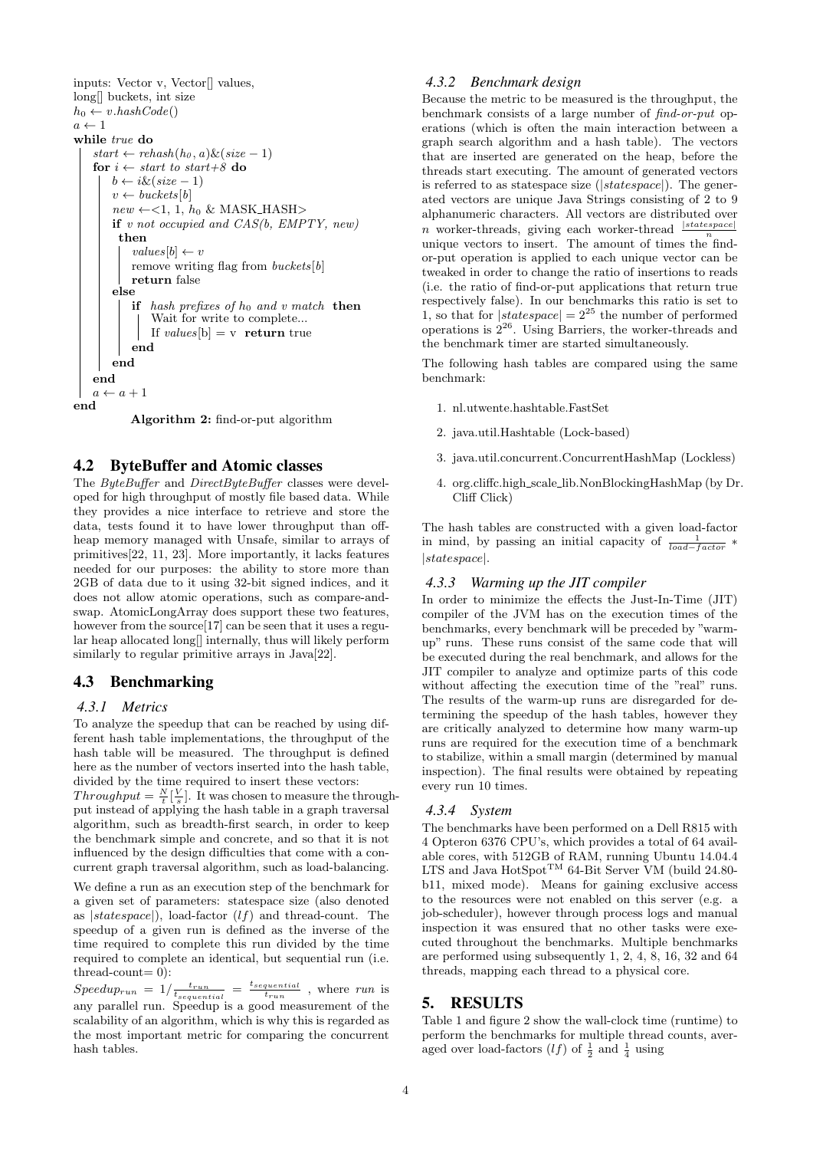inputs: Vector v, Vector[] values, long[] buckets, int size  $h_0 \leftarrow v \cdot \text{hashCode}()$  $a \leftarrow 1$ while true do  $start \leftarrow rehash(h_0, a) \& (size - 1)$ for  $i \leftarrow start$  to start+8 do  $b \leftarrow i \& (size-1)$  $v \leftarrow \text{buckets}[b]$  $new \leftarrow <1, 1, h_0 \& \text{MASK\_HASH}>$ if  $v$  not occupied and  $CAS(b, EMPTY, new)$ then  $values[b] \leftarrow v$ remove writing flag from  $buckets[b]$ return false else if hash prefixes of  $h_0$  and v match then Wait for write to complete... If *values*[b] = v **return** true end end end  $a \leftarrow a + 1$ end

Algorithm 2: find-or-put algorithm

#### 4.2 ByteBuffer and Atomic classes

The ByteBuffer and DirectByteBuffer classes were developed for high throughput of mostly file based data. While they provides a nice interface to retrieve and store the data, tests found it to have lower throughput than offheap memory managed with Unsafe, similar to arrays of primitives[22, 11, 23]. More importantly, it lacks features needed for our purposes: the ability to store more than 2GB of data due to it using 32-bit signed indices, and it does not allow atomic operations, such as compare-andswap. AtomicLongArray does support these two features, however from the source<sup>[17]</sup> can be seen that it uses a regular heap allocated long[] internally, thus will likely perform similarly to regular primitive arrays in Java[22].

## 4.3 Benchmarking

#### *4.3.1 Metrics*

To analyze the speedup that can be reached by using different hash table implementations, the throughput of the hash table will be measured. The throughput is defined here as the number of vectors inserted into the hash table, divided by the time required to insert these vectors:

 $Throughput = \frac{N}{t}[\frac{V}{s}]$ . It was chosen to measure the throughput instead of applying the hash table in a graph traversal algorithm, such as breadth-first search, in order to keep the benchmark simple and concrete, and so that it is not influenced by the design difficulties that come with a concurrent graph traversal algorithm, such as load-balancing.

We define a run as an execution step of the benchmark for a given set of parameters: statespace size (also denoted as  $|statespace|)$ , load-factor  $(lf)$  and thread-count. The speedup of a given run is defined as the inverse of the time required to complete this run divided by the time required to complete an identical, but sequential run (i.e.  $thread-count = 0$ :

 $Speedup_{run} = 1/\frac{t_{run}}{t_{sequential}} = \frac{t_{sequential}}{t_{run}}$ , where run is any parallel run. Speedup is a good measurement of the scalability of an algorithm, which is why this is regarded as the most important metric for comparing the concurrent hash tables.

#### *4.3.2 Benchmark design*

Because the metric to be measured is the throughput, the benchmark consists of a large number of find-or-put operations (which is often the main interaction between a graph search algorithm and a hash table). The vectors that are inserted are generated on the heap, before the threads start executing. The amount of generated vectors is referred to as statespace size (|statespace|). The generated vectors are unique Java Strings consisting of 2 to 9 alphanumeric characters. All vectors are distributed over *n* worker-threads, giving each worker-thread  $\frac{|statespace|}{n}$ unique vectors to insert. The amount of times the findor-put operation is applied to each unique vector can be tweaked in order to change the ratio of insertions to reads (i.e. the ratio of find-or-put applications that return true respectively false). In our benchmarks this ratio is set to 1, so that for  $|statespace| = 2^{25}$  the number of performed operations is  $2^{26}$ . Using Barriers, the worker-threads and the benchmark timer are started simultaneously.

The following hash tables are compared using the same benchmark:

- 1. nl.utwente.hashtable.FastSet
- 2. java.util.Hashtable (Lock-based)
- 3. java.util.concurrent.ConcurrentHashMap (Lockless)
- 4. org.cliffc.high scale lib.NonBlockingHashMap (by Dr. Cliff Click)

The hash tables are constructed with a given load-factor in mind, by passing an initial capacity of  $\frac{1}{load - factor}$  \* |statespace|.

#### *4.3.3 Warming up the JIT compiler*

In order to minimize the effects the Just-In-Time (JIT) compiler of the JVM has on the execution times of the benchmarks, every benchmark will be preceded by "warmup" runs. These runs consist of the same code that will be executed during the real benchmark, and allows for the JIT compiler to analyze and optimize parts of this code without affecting the execution time of the "real" runs. The results of the warm-up runs are disregarded for determining the speedup of the hash tables, however they are critically analyzed to determine how many warm-up runs are required for the execution time of a benchmark to stabilize, within a small margin (determined by manual inspection). The final results were obtained by repeating every run 10 times.

#### *4.3.4 System*

The benchmarks have been performed on a Dell R815 with 4 Opteron 6376 CPU's, which provides a total of 64 available cores, with 512GB of RAM, running Ubuntu 14.04.4  $LTS$  and Java HotSpot<sup>TM</sup> 64-Bit Server VM (build 24.80b11, mixed mode). Means for gaining exclusive access to the resources were not enabled on this server (e.g. a job-scheduler), however through process logs and manual inspection it was ensured that no other tasks were executed throughout the benchmarks. Multiple benchmarks are performed using subsequently 1, 2, 4, 8, 16, 32 and 64 threads, mapping each thread to a physical core.

## 5. RESULTS

Table 1 and figure 2 show the wall-clock time (runtime) to perform the benchmarks for multiple thread counts, averaged over load-factors  $(lf)$  of  $\frac{1}{2}$  and  $\frac{1}{4}$  using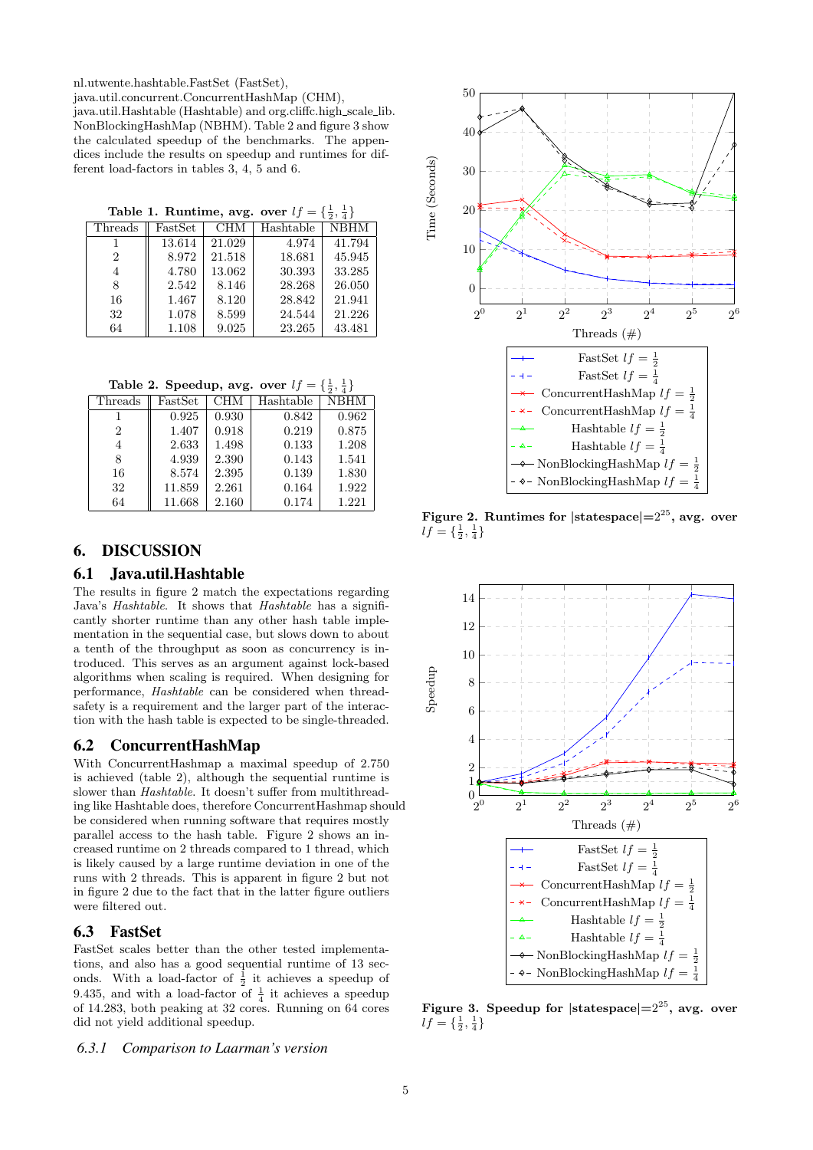nl.utwente.hashtable.FastSet (FastSet),

java.util.concurrent.ConcurrentHashMap (CHM), java.util.Hashtable (Hashtable) and org.cliffc.high scale lib. NonBlockingHashMap (NBHM). Table 2 and figure 3 show the calculated speedup of the benchmarks. The appendices include the results on speedup and runtimes for different load-factors in tables 3, 4, 5 and 6.

Table 1. Runtime, avg. over  $lf = \{\frac{1}{2}, \frac{1}{4}\}\$ 

| Threads | FastSet | CHM    | Hashtable | <b>NBHM</b> |
|---------|---------|--------|-----------|-------------|
|         | 13.614  | 21.029 | 4.974     | 41.794      |
| 2       | 8.972   | 21.518 | 18.681    | 45.945      |
| 4       | 4.780   | 13.062 | 30.393    | 33.285      |
| 8       | 2.542   | 8.146  | 28.268    | 26.050      |
| 16      | 1.467   | 8.120  | 28.842    | 21.941      |
| 32      | 1.078   | 8.599  | 24.544    | 21.226      |
| 64      | 1.108   | 9.025  | 23.265    | 43.481      |

Table 2. Speedup, avg. over  $lf = \{\frac{1}{2}, \frac{1}{4}\}\$ 

| Threads | <b>FastSet</b> | <b>CHM</b> | Hashtable | <b>NBHM</b> |
|---------|----------------|------------|-----------|-------------|
|         | 0.925          | 0.930      | 0.842     | 0.962       |
| 2       | 1.407          | 0.918      | 0.219     | 0.875       |
|         | 2.633          | 1.498      | 0.133     | 1.208       |
| 8       | 4.939          | 2.390      | 0.143     | 1.541       |
| 16      | 8.574          | 2.395      | 0.139     | 1.830       |
| 32      | 11.859         | 2.261      | 0.164     | 1.922       |
| 64      | 11.668         | 2.160      | 0.174     | 1.221       |

# 6. DISCUSSION

## 6.1 Java.util.Hashtable

The results in figure 2 match the expectations regarding Java's Hashtable. It shows that Hashtable has a significantly shorter runtime than any other hash table implementation in the sequential case, but slows down to about a tenth of the throughput as soon as concurrency is introduced. This serves as an argument against lock-based algorithms when scaling is required. When designing for performance, Hashtable can be considered when threadsafety is a requirement and the larger part of the interaction with the hash table is expected to be single-threaded.

## 6.2 ConcurrentHashMap

With ConcurrentHashmap a maximal speedup of 2.750 is achieved (table 2), although the sequential runtime is slower than Hashtable. It doesn't suffer from multithreading like Hashtable does, therefore ConcurrentHashmap should be considered when running software that requires mostly parallel access to the hash table. Figure 2 shows an increased runtime on 2 threads compared to 1 thread, which is likely caused by a large runtime deviation in one of the runs with 2 threads. This is apparent in figure 2 but not in figure 2 due to the fact that in the latter figure outliers were filtered out.

## 6.3 FastSet

FastSet scales better than the other tested implementations, and also has a good sequential runtime of 13 seconds. With a load-factor of  $\frac{1}{2}$  it achieves a speedup of 9.435, and with a load-factor of  $\frac{1}{4}$  it achieves a speedup of 14.283, both peaking at 32 cores. Running on 64 cores did not yield additional speedup.

#### *6.3.1 Comparison to Laarman's version*



Figure 2. Runtimes for  $|\text{statespace}|=2^{25}$ , avg. over  $lf = \{\frac{1}{2}, \frac{1}{4}\}\$ 



Figure 3. Speedup for  $|\text{statespace}|=2^{25}$ , avg. over  $lf = \{\frac{1}{2}, \frac{1}{4}\}\$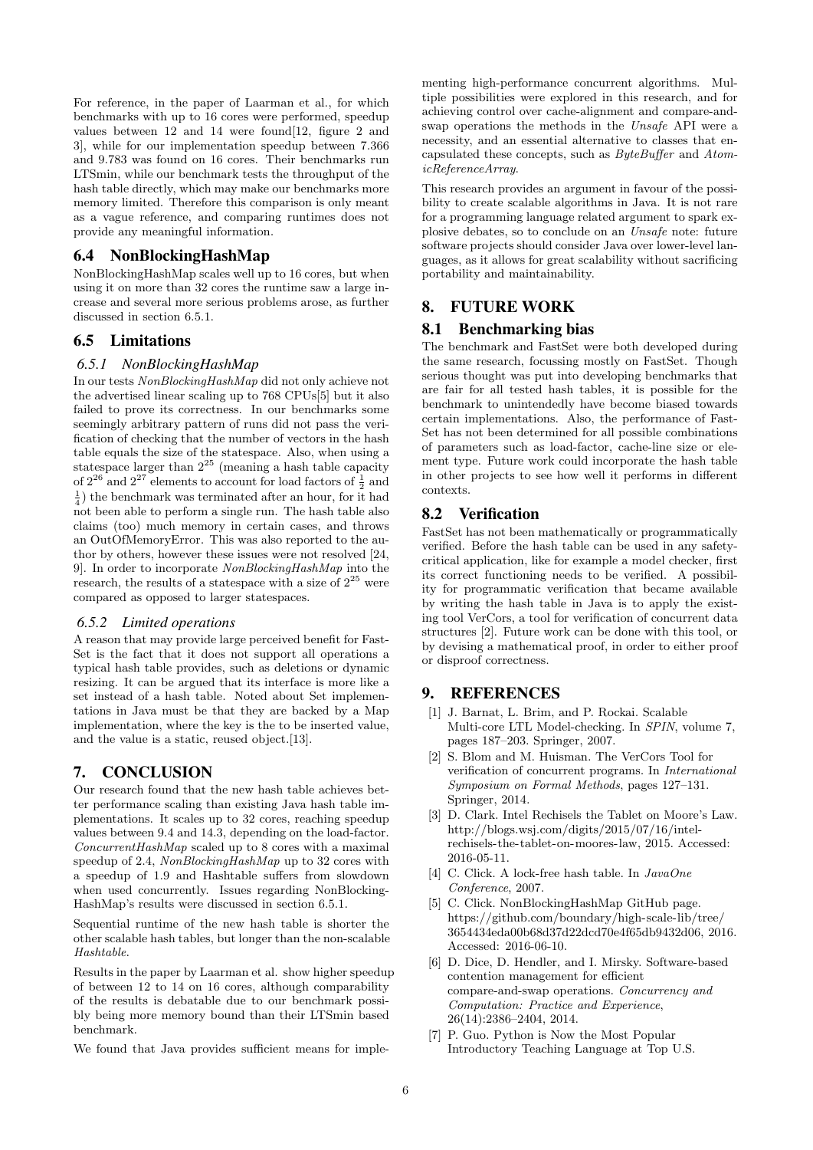For reference, in the paper of Laarman et al., for which benchmarks with up to 16 cores were performed, speedup values between 12 and 14 were found[12, figure 2 and 3], while for our implementation speedup between 7.366 and 9.783 was found on 16 cores. Their benchmarks run LTSmin, while our benchmark tests the throughput of the hash table directly, which may make our benchmarks more memory limited. Therefore this comparison is only meant as a vague reference, and comparing runtimes does not provide any meaningful information.

## 6.4 NonBlockingHashMap

NonBlockingHashMap scales well up to 16 cores, but when using it on more than 32 cores the runtime saw a large increase and several more serious problems arose, as further discussed in section 6.5.1.

## 6.5 Limitations

#### *6.5.1 NonBlockingHashMap*

In our tests NonBlockingHashMap did not only achieve not the advertised linear scaling up to 768 CPUs[5] but it also failed to prove its correctness. In our benchmarks some seemingly arbitrary pattern of runs did not pass the verification of checking that the number of vectors in the hash table equals the size of the statespace. Also, when using a statespace larger than  $2^{25}$  (meaning a hash table capacity of  $2^{26}$  and  $2^{27}$  elements to account for load factors of  $\frac{1}{2}$  and  $\frac{1}{4}$ ) the benchmark was terminated after an hour, for it had not been able to perform a single run. The hash table also claims (too) much memory in certain cases, and throws an OutOfMemoryError. This was also reported to the author by others, however these issues were not resolved [24, 9]. In order to incorporate NonBlockingHashMap into the research, the results of a statespace with a size of  $2^{25}$  were compared as opposed to larger statespaces.

#### *6.5.2 Limited operations*

A reason that may provide large perceived benefit for Fast-Set is the fact that it does not support all operations a typical hash table provides, such as deletions or dynamic resizing. It can be argued that its interface is more like a set instead of a hash table. Noted about Set implementations in Java must be that they are backed by a Map implementation, where the key is the to be inserted value, and the value is a static, reused object.[13].

## 7. CONCLUSION

Our research found that the new hash table achieves better performance scaling than existing Java hash table implementations. It scales up to 32 cores, reaching speedup values between 9.4 and 14.3, depending on the load-factor. ConcurrentHashMap scaled up to 8 cores with a maximal speedup of 2.4, NonBlockingHashMap up to 32 cores with a speedup of 1.9 and Hashtable suffers from slowdown when used concurrently. Issues regarding NonBlocking-HashMap's results were discussed in section 6.5.1.

Sequential runtime of the new hash table is shorter the other scalable hash tables, but longer than the non-scalable Hashtable.

Results in the paper by Laarman et al. show higher speedup of between 12 to 14 on 16 cores, although comparability of the results is debatable due to our benchmark possibly being more memory bound than their LTSmin based benchmark.

We found that Java provides sufficient means for imple-

menting high-performance concurrent algorithms. Multiple possibilities were explored in this research, and for achieving control over cache-alignment and compare-andswap operations the methods in the Unsafe API were a necessity, and an essential alternative to classes that encapsulated these concepts, such as ByteBuffer and AtomicReferenceArray.

This research provides an argument in favour of the possibility to create scalable algorithms in Java. It is not rare for a programming language related argument to spark explosive debates, so to conclude on an Unsafe note: future software projects should consider Java over lower-level languages, as it allows for great scalability without sacrificing portability and maintainability.

## 8. FUTURE WORK

#### 8.1 Benchmarking bias

The benchmark and FastSet were both developed during the same research, focussing mostly on FastSet. Though serious thought was put into developing benchmarks that are fair for all tested hash tables, it is possible for the benchmark to unintendedly have become biased towards certain implementations. Also, the performance of Fast-Set has not been determined for all possible combinations of parameters such as load-factor, cache-line size or element type. Future work could incorporate the hash table in other projects to see how well it performs in different contexts.

## 8.2 Verification

FastSet has not been mathematically or programmatically verified. Before the hash table can be used in any safetycritical application, like for example a model checker, first its correct functioning needs to be verified. A possibility for programmatic verification that became available by writing the hash table in Java is to apply the existing tool VerCors, a tool for verification of concurrent data structures [2]. Future work can be done with this tool, or by devising a mathematical proof, in order to either proof or disproof correctness.

## 9. REFERENCES

- [1] J. Barnat, L. Brim, and P. Rockai. Scalable Multi-core LTL Model-checking. In SPIN, volume 7, pages 187–203. Springer, 2007.
- [2] S. Blom and M. Huisman. The VerCors Tool for verification of concurrent programs. In International Symposium on Formal Methods, pages 127–131. Springer, 2014.
- [3] D. Clark. Intel Rechisels the Tablet on Moore's Law. http://blogs.wsj.com/digits/2015/07/16/intelrechisels-the-tablet-on-moores-law, 2015. Accessed: 2016-05-11.
- [4] C. Click. A lock-free hash table. In  $JavaOne$ Conference, 2007.
- [5] C. Click. NonBlockingHashMap GitHub page. https://github.com/boundary/high-scale-lib/tree/ 3654434eda00b68d37d22dcd70e4f65db9432d06, 2016. Accessed: 2016-06-10.
- [6] D. Dice, D. Hendler, and I. Mirsky. Software-based contention management for efficient compare-and-swap operations. Concurrency and Computation: Practice and Experience, 26(14):2386–2404, 2014.
- [7] P. Guo. Python is Now the Most Popular Introductory Teaching Language at Top U.S.